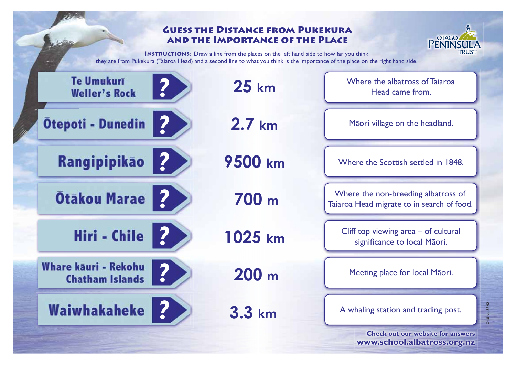## **Guess the Distance from Pukekura and the Importance of the Place**



Cre8ive 3842

**INSTRUCTIONS:** Draw a line from the places on the left hand side to how far you think they are from Pukekura (Taiaroa Head) and a second line to what you think is the importance of the place on the right hand side.

حفظ

| <b>Te Umukurī</b><br>?<br><b>Weller's Rock</b>             | $25 \; \mathrm{km}$ | Where the albatross of Tajaroa<br>Head came from.                                 |
|------------------------------------------------------------|---------------------|-----------------------------------------------------------------------------------|
| $\boldsymbol{\mathcal{P}}$<br><b>Otepoti - Dunedin</b>     | $2.7 \text{ km}$    | Māori village on the headland.                                                    |
| $\overline{\mathbf{2}}$<br>Rangipipikao                    | 9500 km             | Where the Scottish settled in 1848.                                               |
| $\overline{?}$<br><b>Otakou Marae</b>                      | 700 m               | Where the non-breeding albatross of<br>Taiaroa Head migrate to in search of food. |
| $\boldsymbol{\mathcal{P}}$<br><b>Hiri - Chile</b>          | 1025 km             | Cliff top viewing $area - of$ cultural<br>significance to local Māori.            |
| <b>Whare kāuri - Rekohu</b><br>?<br><b>Chatham Islands</b> | 200 m               | Meeting place for local Maori.                                                    |
| <b>Waiwhakaheke</b>                                        | 3.3 km              | A whaling station and trading post.                                               |
|                                                            |                     | <b>Check out our website for answers</b><br>www.school.albatross.org.nz           |